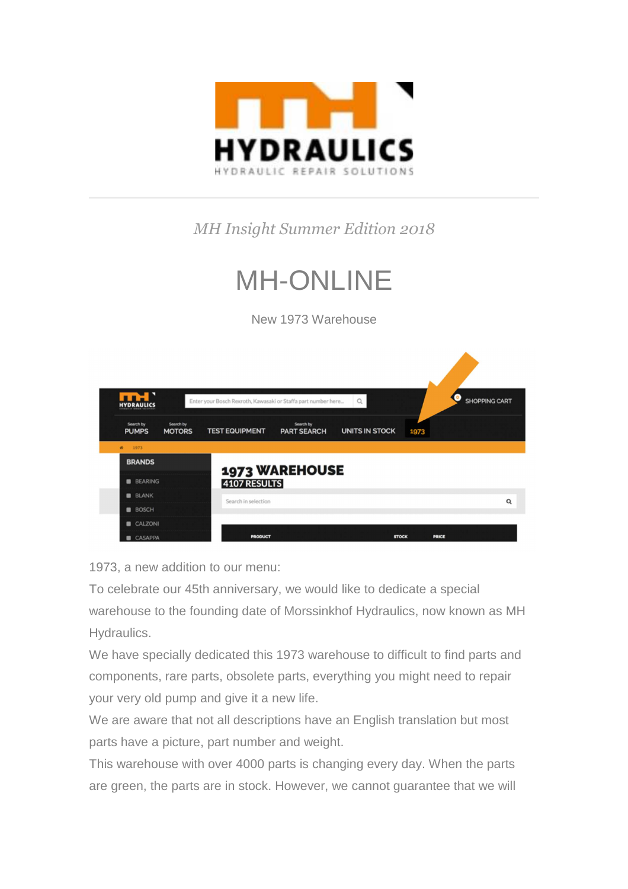

## *MH Insight Summer Edition 2018*

## MH-ONLINE

New 1973 Warehouse

|                                    |                            |                                                                                        |                                 | $\alpha$              |              | <b>SHOPPING CART</b> |
|------------------------------------|----------------------------|----------------------------------------------------------------------------------------|---------------------------------|-----------------------|--------------|----------------------|
| Search by<br><b>PUMPS</b>          | Search by<br><b>MOTORS</b> | Enter your Bosch Rexroth, Kawasaki or Staffa part number here<br><b>TEST EQUIPMENT</b> | Search by<br><b>PART SEARCH</b> | <b>UNITS IN STOCK</b> | 1973         |                      |
| $\bullet$<br>1973<br><b>BRANDS</b> |                            |                                                                                        |                                 |                       |              |                      |
| <b>BEARING</b>                     |                            | <b>4107 RESULTS</b>                                                                    | <b>1973 WAREHOUSE</b>           |                       |              |                      |
| <b>BLANK</b>                       |                            | Search in selection                                                                    |                                 |                       |              | $\alpha$             |
| <b>BOSCH</b>                       |                            |                                                                                        |                                 |                       |              |                      |
| CALZONI<br>۰                       |                            |                                                                                        |                                 |                       |              |                      |
| <b>CASAPPA</b>                     |                            | <b>PRODUCT</b>                                                                         |                                 | <b>STOCK</b>          | <b>PRICE</b> |                      |

1973, a new addition to our menu:

To celebrate our 45th anniversary, we would like to dedicate a special warehouse to the founding date of Morssinkhof Hydraulics, now known as MH Hydraulics.

We have specially dedicated this 1973 warehouse to difficult to find parts and components, rare parts, obsolete parts, everything you might need to repair your very old pump and give it a new life.

We are aware that not all descriptions have an English translation but most parts have a picture, part number and weight.

This warehouse with over 4000 parts is changing every day. When the parts are green, the parts are in stock. However, we cannot guarantee that we will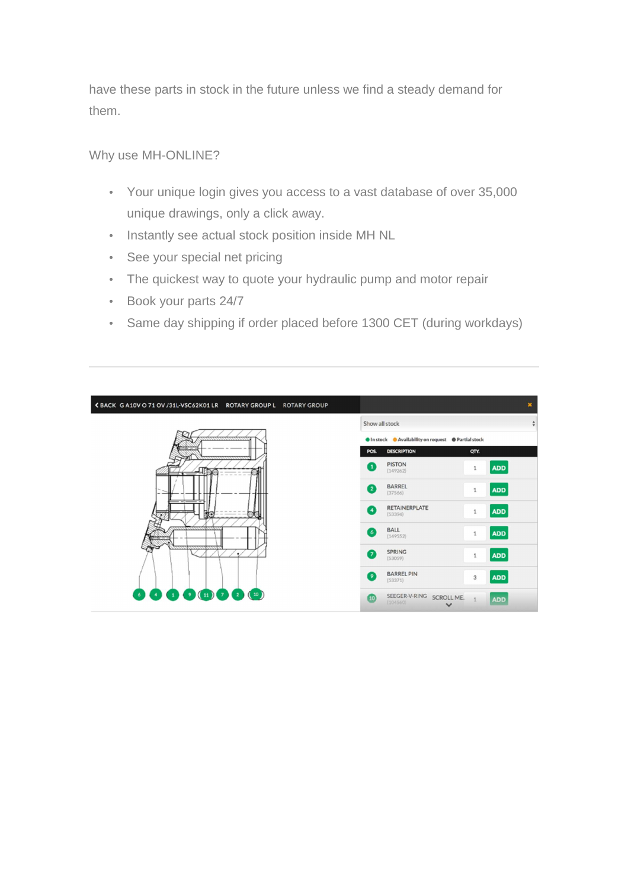have these parts in stock in the future unless we find a steady demand for them.

Why use MH-ONLINE?

- Your unique login gives you access to a vast database of over 35,000 unique drawings, only a click away.
- Instantly see actual stock position inside MH NL
- See your special net pricing
- The quickest way to quote your hydraulic pump and motor repair
- Book your parts 24/7
- Same day shipping if order placed before 1300 CET (during workdays)

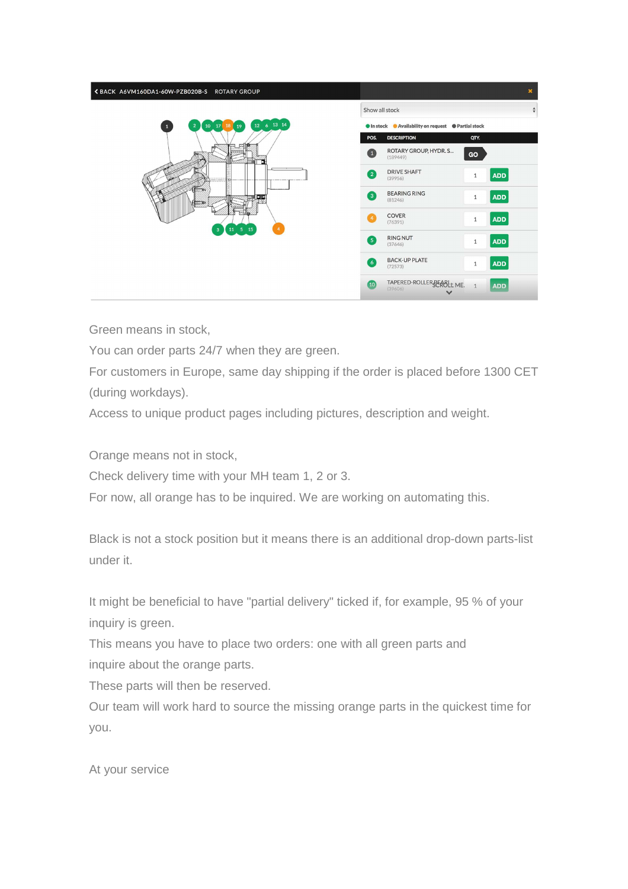| ≮ BACK A6VM160DA1-60W-PZB020B-S ROTARY GROUP                              |                                   |                                                      |              |               | $\mathbf{x}$ |
|---------------------------------------------------------------------------|-----------------------------------|------------------------------------------------------|--------------|---------------|--------------|
|                                                                           | Show all stock                    |                                                      |              | $\frac{4}{7}$ |              |
| 12 6 13 14<br>$10 \quad 17$<br>18<br>19<br>$\overline{2}$<br>$\mathbf{1}$ |                                   | ● In stock ● Availability on request ● Partial stock |              |               |              |
|                                                                           | POS.                              | <b>DESCRIPTION</b>                                   | QTY.         |               |              |
|                                                                           | $\left( 1\right)$                 | ROTARY GROUP, HYDR. S<br>(189449)                    | GO           |               |              |
|                                                                           | $\left( 2\right)$                 | <b>DRIVE SHAFT</b><br>(39956)                        | $\,1\,$      | <b>ADD</b>    |              |
| ※2 日号                                                                     | $\left(3\right)$                  | <b>BEARING RING</b><br>(81246)                       | $1\,$        | <b>ADD</b>    |              |
| $11 \quad 5 \quad 15$<br>$\overline{\mathbf{3}}$                          | $\overline{a}$                    | COVER<br>(76391)                                     | $\,1\,$      | <b>ADD</b>    |              |
|                                                                           | $\left( 5\right)$                 | <b>RING NUT</b><br>(37646)                           | $1\,$        | <b>ADD</b>    |              |
|                                                                           | $\begin{pmatrix} 6 \end{pmatrix}$ | <b>BACK-UP PLATE</b><br>(72573)                      | $\mathbf{1}$ | <b>ADD</b>    |              |
|                                                                           | (10)                              | TAPERED-ROLLER BEABLE ME.<br>(39606)<br>$\checkmark$ |              | <b>ADD</b>    |              |

Green means in stock,

You can order parts 24/7 when they are green.

For customers in Europe, same day shipping if the order is placed before 1300 CET (during workdays).

Access to unique product pages including pictures, description and weight.

Orange means not in stock,

Check delivery time with your MH team 1, 2 or 3.

For now, all orange has to be inquired. We are working on automating this.

Black is not a stock position but it means there is an additional drop-down parts-list under it.

It might be beneficial to have "partial delivery" ticked if, for example, 95 % of your inquiry is green.

This means you have to place two orders: one with all green parts and inquire about the orange parts.

These parts will then be reserved.

Our team will work hard to source the missing orange parts in the quickest time for you.

At your service